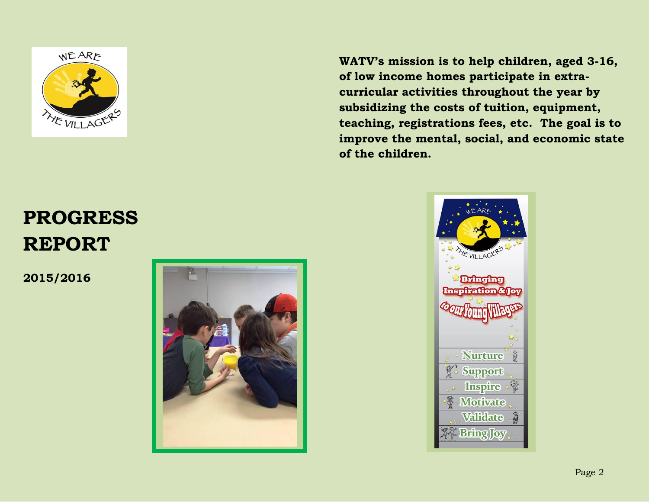

**WATV's mission is to help children, aged 3-16, of low income homes participate in extracurricular activities throughout the year by subsidizing the costs of tuition, equipment, teaching, registrations fees, etc. The goal is to improve the mental, social, and economic state of the children.**

# **PROGRESS REPORT**

**2015/2016** 



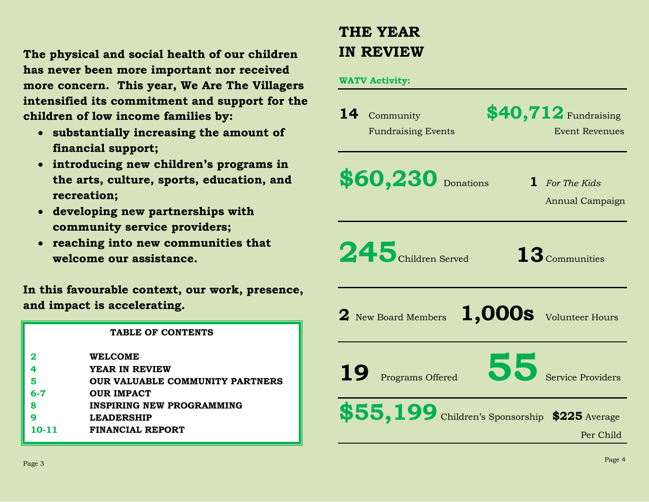**The physical and social health of our children has never been more important nor received more concern. This year, We Are The Villagers intensified its commitment and support for the children of low income families by:** 

- **substantially increasing the amount of financial support;**
- **introducing new children's programs in the arts, culture, sports, education, and recreation;**
- **developing new partnerships with community service providers;**
- **reaching into new communities that welcome our assistance.**

**In this favourable context, our work, presence, and impact is accelerating.**

|       | TABLE OF CONTENTS                      |
|-------|----------------------------------------|
| 2     | <b>WELCOME</b>                         |
| 4     | YEAR IN REVIEW                         |
|       | <b>OUR VALUABLE COMMUNITY PARTNERS</b> |
| 6-7   | <b>OUR IMPACT</b>                      |
| 8     | <b>INSPIRING NEW PROGRAMMING</b>       |
| O     | <b>LEADERSHIP</b>                      |
| 10-11 | FINANCIAL REPORT                       |

# **THE YEAR IN REVIEW**

#### **WATV Activity:**

| 14<br>Community<br><b>Fundraising Events</b> | $$40,712$ Fundraising<br><b>Event Revenues</b>             |
|----------------------------------------------|------------------------------------------------------------|
| \$60,230 Donations                           | 1 For The Kids<br>Annual Campaign                          |
| 245 Children Served                          | $13$ Communities                                           |
| 2 New Board Members                          | 1,000s Volunteer Hours                                     |
| <b>19</b><br>Programs Offered                | Sons Service Providers                                     |
|                                              | \$55,199 Children's Sponsorship \$225 Average<br>Per Child |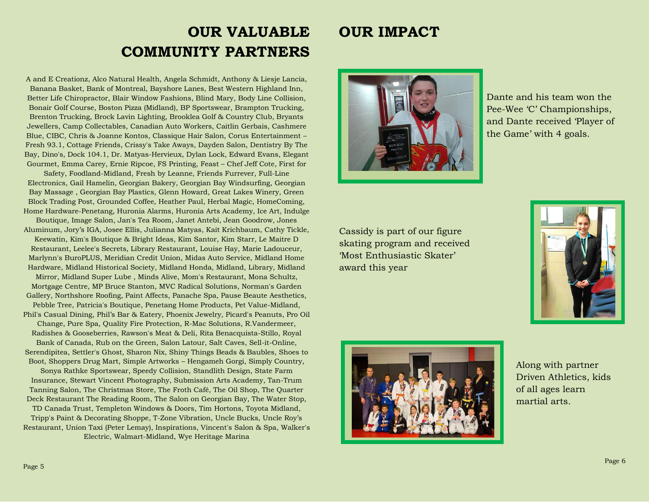## **OUR VALUABLE COMMUNITY PARTNERS**

A and E Creationz, Alco Natural Health, Angela Schmidt, Anthony & Liesje Lancia, Banana Basket, Bank of Montreal, Bayshore Lanes, Best Western Highland Inn, Better Life Chiropractor, Blair Window Fashions, Blind Mary, Body Line Collision, Bonair Golf Course, Boston Pizza (Midland), BP Sportswear, Brampton Trucking, Brenton Trucking, Brock Lavin Lighting, Brooklea Golf & Country Club, Bryants Jewellers, Camp Collectables, Canadian Auto Workers, Caitlin Gerbais, Cashmere Blue, CIBC, Chris & Joanne Kontos, Classique Hair Salon, Corus Entertainment – Fresh 93.1, Cottage Friends, Crissy's Take Aways, Dayden Salon, Dentistry By The Bay, Dino's, Dock 104.1, Dr. Matyas-Hervieux, Dylan Lock, Edward Evans, Elegant Gourmet, Emma Carey, Ernie Ripcoe, FS Printing, Feast – Chef Jeff Cote, First for

Safety, Foodland-Midland, Fresh by Leanne, Friends Furrever, Full-Line Electronics, Gail Hamelin, Georgian Bakery, Georgian Bay Windsurfing, Georgian Bay Massage , Georgian Bay Plastics, Glenn Howard, Great Lakes Winery, Green Block Trading Post, Grounded Coffee, Heather Paul, Herbal Magic, HomeComing, Home Hardware-Penetang, Huronia Alarms, Huronia Arts Academy, Ice Art, Indulge

Boutique, Image Salon, Jan's Tea Room, Janet Antebi, Jean Goodrow, Jones Aluminum, Jory's IGA, Josee Ellis, Julianna Matyas, Kait Krichbaum, Cathy Tickle, Keewatin, Kim's Boutique & Bright Ideas, Kim Santor, Kim Starr, Le Maitre D

Restaurant, Leelee's Secrets, Library Restaurant, Louise Hay, Marie Ladouceur, Marlynn's BuroPLUS, Meridian Credit Union, Midas Auto Service, Midland Home Hardware, Midland Historical Society, Midland Honda, Midland, Library, Midland

Mirror, Midland Super Lube , Minds Alive, Mom's Restaurant, Mona Schultz, Mortgage Centre, MP Bruce Stanton, MVC Radical Solutions, Norman's Garden Gallery, Northshore Roofing, Paint Affects, Panache Spa, Pause Beaute Aesthetics,

Pebble Tree, Patricia's Boutique, Penetang Home Products, Pet Value-Midland, Phil's Casual Dining, Phil's Bar & Eatery, Phoenix Jewelry, Picard's Peanuts, Pro Oil Change, Pure Spa, Quality Fire Protection, R-Mac Solutions, R.Vandermeer,

Radishes & Gooseberries, Rawson's Meat & Deli, Rita Benacquista-Stillo, Royal Bank of Canada, Rub on the Green, Salon Latour, Salt Caves, Sell-it-Online, Serendipitea, Settler's Ghost, Sharon Nix, Shiny Things Beads & Baubles, Shoes to Boot, Shoppers Drug Mart, Simple Artworks – Hengameh Gorgi, Simply Country,

Sonya Rathke Sportswear, Speedy Collision, Standlith Design, State Farm Insurance, Stewart Vincent Photography, Submission Arts Academy, Tan-Trum Tanning Salon, The Christmas Store, The Froth Café, The Oil Shop, The Quarter Deck Restaurant The Reading Room, The Salon on Georgian Bay, The Water Stop,

TD Canada Trust, Templeton Windows & Doors, Tim Hortons, Toyota Midland, Tripp's Paint & Decorating Shoppe, T-Zone Vibration, Uncle Bucks, Uncle Roy's Restaurant, Union Taxi (Peter Lemay), Inspirations, Vincent's Salon & Spa, Walker's Electric, Walmart-Midland, Wye Heritage Marina

### **OUR IMPACT**



Dante and his team won the Pee-Wee 'C' Championships, and Dante received 'Player of the Game' with 4 goals.

Cassidy is part of our figure skating program and received 'Most Enthusiastic Skater' award this year





Along with partner Driven Athletics, kids of all ages learn martial arts.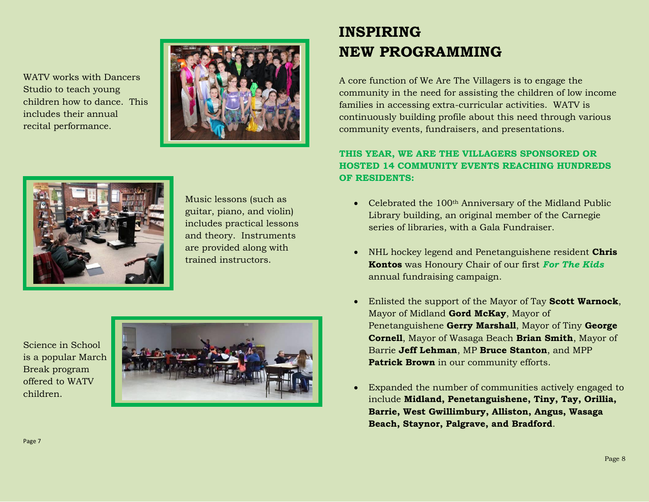WATV works with Dancers Studio to teach young children how to dance. This includes their annual recital performance.





 Music lessons (such as guitar, piano, and violin) includes practical lessons and theory. Instruments are provided along with trained instructors.

Science in School is a popular March Break program offered to WATV children.



# **INSPIRING NEW PROGRAMMING**

A core function of We Are The Villagers is to engage the community in the need for assisting the children of low income families in accessing extra-curricular activities. WATV is continuously building profile about this need through various community events, fundraisers, and presentations.

### **THIS YEAR, WE ARE THE VILLAGERS SPONSORED OR HOSTED 14 COMMUNITY EVENTS REACHING HUNDREDS OF RESIDENTS:**

- Celebrated the 100<sup>th</sup> Anniversary of the Midland Public Library building, an original member of the Carnegie series of libraries, with a Gala Fundraiser.
- NHL hockey legend and Penetanguishene resident **Chris Kontos** was Honoury Chair of our first *For The Kids* annual fundraising campaign.
- Enlisted the support of the Mayor of Tay **Scott Warnock**, Mayor of Midland **Gord McKay**, Mayor of Penetanguishene **Gerry Marshall**, Mayor of Tiny **George Cornell**, Mayor of Wasaga Beach **Brian Smith**, Mayor of Barrie **Jeff Lehman**, MP **Bruce Stanton**, and MPP **Patrick Brown** in our community efforts.
- Expanded the number of communities actively engaged to include **Midland, Penetanguishene, Tiny, Tay, Orillia, Barrie, West Gwillimbury, Alliston, Angus, Wasaga Beach, Staynor, Palgrave, and Bradford**.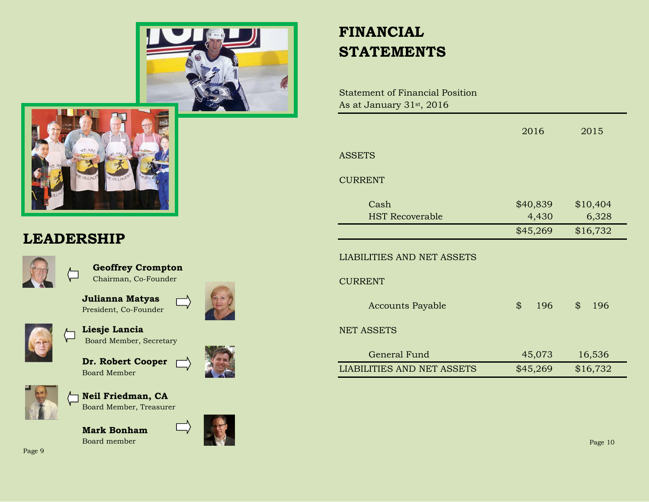



### **LEADERSHIP**



 **Geoffrey Crompton** Chairman, Co-Founder

 **Julianna Matyas** President, Co-Founder



 **Liesje Lancia** Board Member, Secretary

 **Dr. Robert Cooper** Board Member



 **Neil Friedman, CA** Board Member, Treasurer

**Mark Bonham** Board member













Statement of Financial Position As at January 31st, 2016

|                                   | 2016      | 2015      |
|-----------------------------------|-----------|-----------|
| <b>ASSETS</b>                     |           |           |
| <b>CURRENT</b>                    |           |           |
| Cash                              | \$40,839  | \$10,404  |
| <b>HST Recoverable</b>            | 4,430     | 6,328     |
|                                   | \$45,269  | \$16,732  |
| <b>LIABILITIES AND NET ASSETS</b> |           |           |
| <b>CURRENT</b>                    |           |           |
| <b>Accounts Payable</b>           | \$<br>196 | \$<br>196 |
| <b>NET ASSETS</b>                 |           |           |
| <b>General Fund</b>               | 45,073    | 16,536    |
| <b>LIABILITIES AND NET ASSETS</b> | \$45,269  | \$16,732  |

Page 9